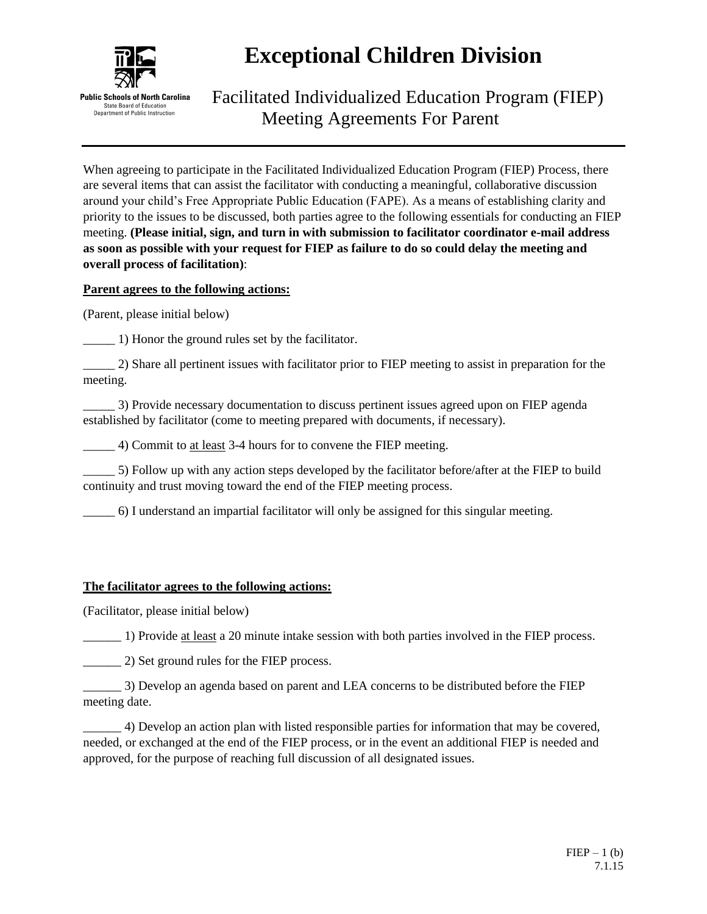

# **Exceptional Children Division**

Facilitated Individualized Education Program (FIEP) Meeting Agreements For Parent

When agreeing to participate in the Facilitated Individualized Education Program (FIEP) Process, there are several items that can assist the facilitator with conducting a meaningful, collaborative discussion around your child's Free Appropriate Public Education (FAPE). As a means of establishing clarity and priority to the issues to be discussed, both parties agree to the following essentials for conducting an FIEP meeting. **(Please initial, sign, and turn in with submission to facilitator coordinator e-mail address as soon as possible with your request for FIEP as failure to do so could delay the meeting and overall process of facilitation)**:

## **Parent agrees to the following actions:**

(Parent, please initial below)

\_\_\_\_\_ 1) Honor the ground rules set by the facilitator.

\_\_\_\_\_ 2) Share all pertinent issues with facilitator prior to FIEP meeting to assist in preparation for the meeting.

\_\_\_\_\_ 3) Provide necessary documentation to discuss pertinent issues agreed upon on FIEP agenda established by facilitator (come to meeting prepared with documents, if necessary).

\_\_\_\_\_ 4) Commit to at least 3-4 hours for to convene the FIEP meeting.

\_\_\_\_\_ 5) Follow up with any action steps developed by the facilitator before/after at the FIEP to build continuity and trust moving toward the end of the FIEP meeting process.

\_\_\_\_\_ 6) I understand an impartial facilitator will only be assigned for this singular meeting.

#### **The facilitator agrees to the following actions:**

(Facilitator, please initial below)

\_\_\_\_\_\_ 1) Provide at least a 20 minute intake session with both parties involved in the FIEP process.

\_\_\_\_\_\_ 2) Set ground rules for the FIEP process.

\_\_\_\_\_\_ 3) Develop an agenda based on parent and LEA concerns to be distributed before the FIEP meeting date.

\_\_\_\_\_\_ 4) Develop an action plan with listed responsible parties for information that may be covered, needed, or exchanged at the end of the FIEP process, or in the event an additional FIEP is needed and approved, for the purpose of reaching full discussion of all designated issues.